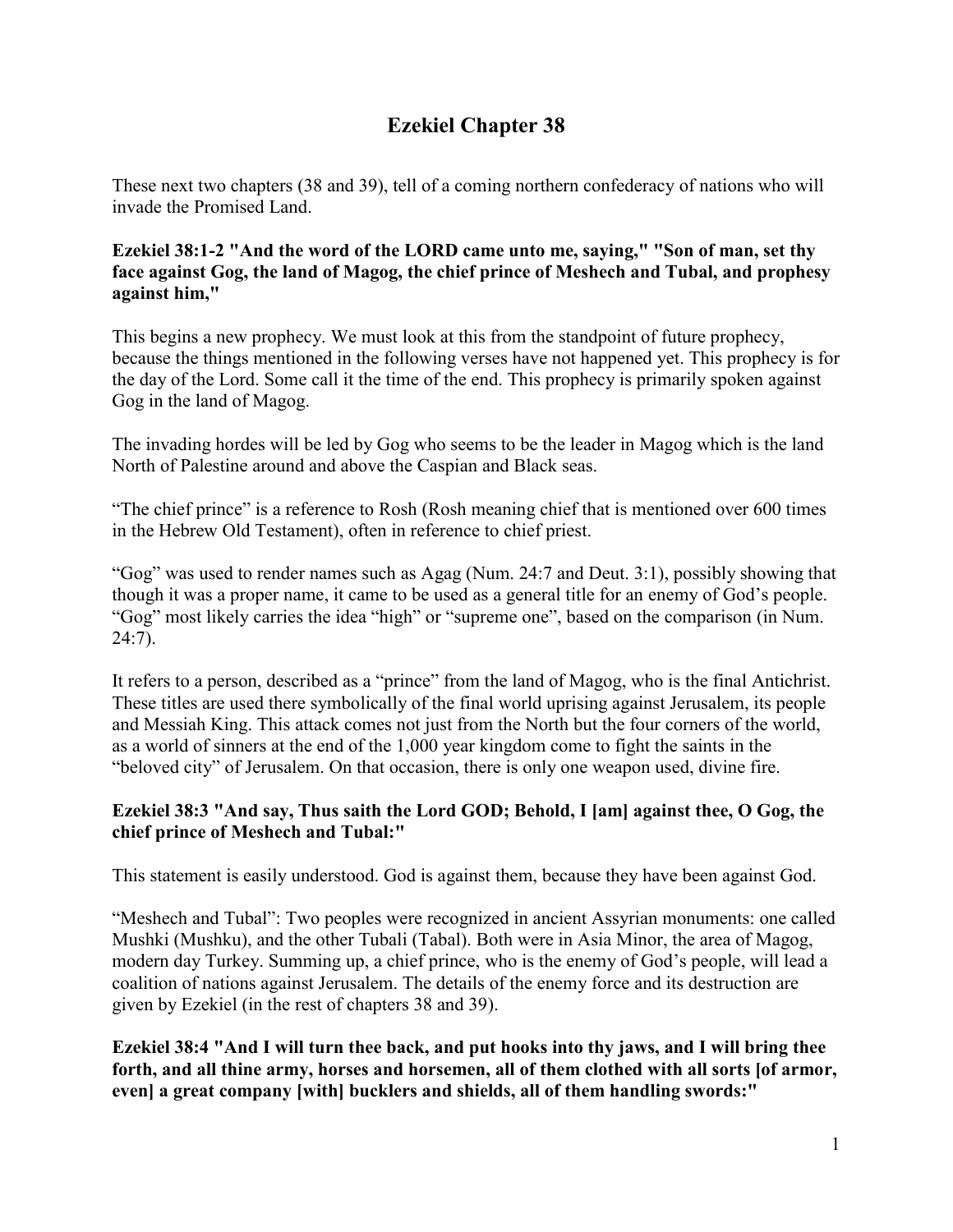# **Ezekiel Chapter 38**

These next two chapters (38 and 39), tell of a coming northern confederacy of nations who will invade the Promised Land.

**Ezekiel 38:1-2 "And the word of the LORD came unto me, saying," "Son of man, set thy face against Gog, the land of Magog, the chief prince of Meshech and Tubal, and prophesy against him,"**

This begins a new prophecy. We must look at this from the standpoint of future prophecy, because the things mentioned in the following verses have not happened yet. This prophecy is for the day of the Lord. Some call it the time of the end. This prophecy is primarily spoken against Gog in the land of Magog.

The invading hordes will be led by Gog who seems to be the leader in Magog which is the land North of Palestine around and above the Caspian and Black seas.

"The chief prince" is a reference to Rosh (Rosh meaning chief that is mentioned over 600 times in the Hebrew Old Testament), often in reference to chief priest.

"Gog" was used to render names such as Agag (Num. 24:7 and Deut. 3:1), possibly showing that though it was a proper name, it came to be used as a general title for an enemy of God's people. "Gog" most likely carries the idea "high" or "supreme one", based on the comparison (in Num. 24:7).

It refers to a person, described as a "prince" from the land of Magog, who is the final Antichrist. These titles are used there symbolically of the final world uprising against Jerusalem, its people and Messiah King. This attack comes not just from the North but the four corners of the world, as a world of sinners at the end of the 1,000 year kingdom come to fight the saints in the "beloved city" of Jerusalem. On that occasion, there is only one weapon used, divine fire.

# **Ezekiel 38:3 "And say, Thus saith the Lord GOD; Behold, I [am] against thee, O Gog, the chief prince of Meshech and Tubal:"**

This statement is easily understood. God is against them, because they have been against God.

"Meshech and Tubal": Two peoples were recognized in ancient Assyrian monuments: one called Mushki (Mushku), and the other Tubali (Tabal). Both were in Asia Minor, the area of Magog, modern day Turkey. Summing up, a chief prince, who is the enemy of God's people, will lead a coalition of nations against Jerusalem. The details of the enemy force and its destruction are given by Ezekiel (in the rest of chapters 38 and 39).

**Ezekiel 38:4 "And I will turn thee back, and put hooks into thy jaws, and I will bring thee forth, and all thine army, horses and horsemen, all of them clothed with all sorts [of armor, even] a great company [with] bucklers and shields, all of them handling swords:"**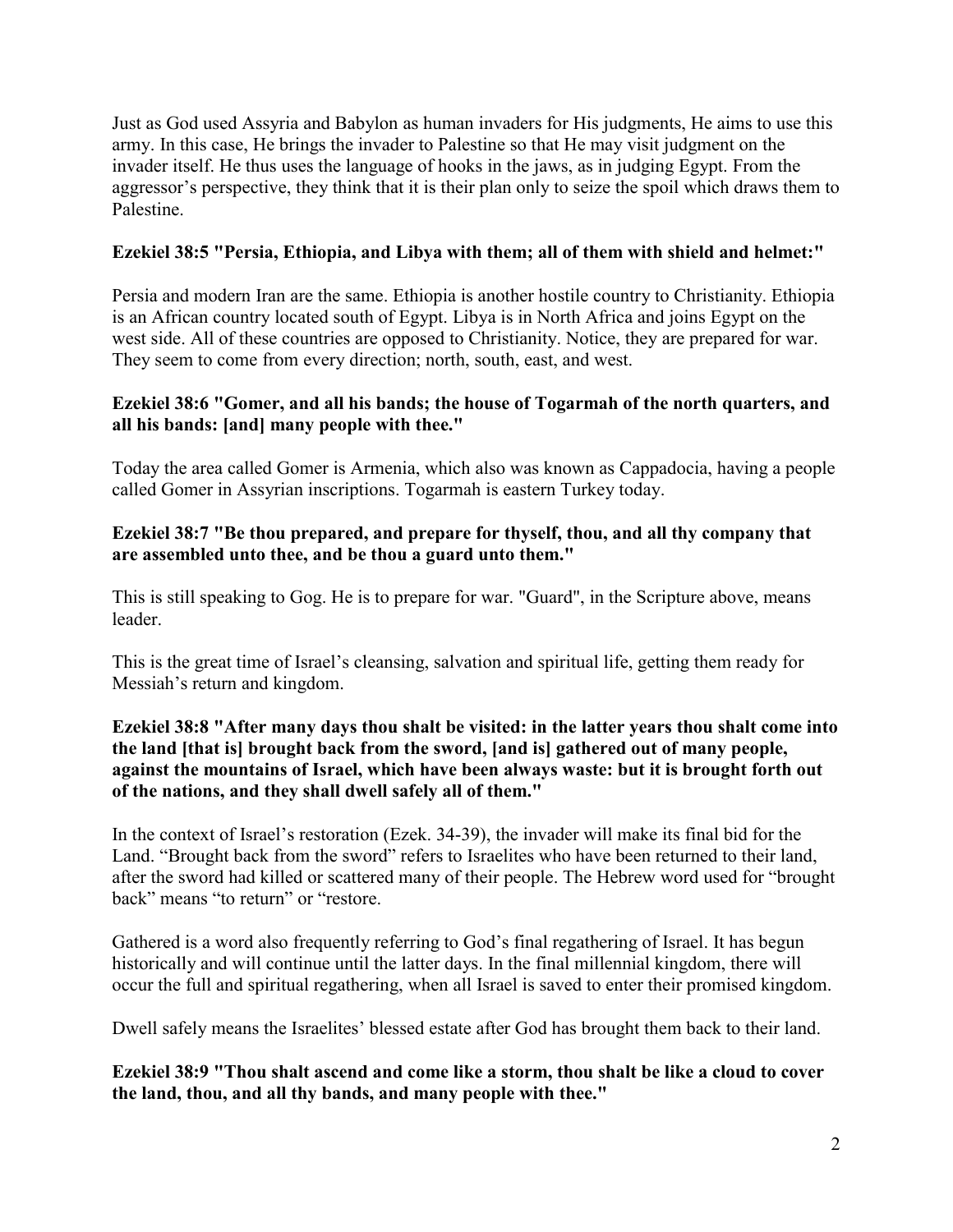Just as God used Assyria and Babylon as human invaders for His judgments, He aims to use this army. In this case, He brings the invader to Palestine so that He may visit judgment on the invader itself. He thus uses the language of hooks in the jaws, as in judging Egypt. From the aggressor's perspective, they think that it is their plan only to seize the spoil which draws them to Palestine.

# **Ezekiel 38:5 "Persia, Ethiopia, and Libya with them; all of them with shield and helmet:"**

Persia and modern Iran are the same. Ethiopia is another hostile country to Christianity. Ethiopia is an African country located south of Egypt. Libya is in North Africa and joins Egypt on the west side. All of these countries are opposed to Christianity. Notice, they are prepared for war. They seem to come from every direction; north, south, east, and west.

## **Ezekiel 38:6 "Gomer, and all his bands; the house of Togarmah of the north quarters, and all his bands: [and] many people with thee."**

Today the area called Gomer is Armenia, which also was known as Cappadocia, having a people called Gomer in Assyrian inscriptions. Togarmah is eastern Turkey today.

## **Ezekiel 38:7 "Be thou prepared, and prepare for thyself, thou, and all thy company that are assembled unto thee, and be thou a guard unto them."**

This is still speaking to Gog. He is to prepare for war. "Guard", in the Scripture above, means leader.

This is the great time of Israel's cleansing, salvation and spiritual life, getting them ready for Messiah's return and kingdom.

#### **Ezekiel 38:8 "After many days thou shalt be visited: in the latter years thou shalt come into the land [that is] brought back from the sword, [and is] gathered out of many people, against the mountains of Israel, which have been always waste: but it is brought forth out of the nations, and they shall dwell safely all of them."**

In the context of Israel's restoration (Ezek. 34-39), the invader will make its final bid for the Land. "Brought back from the sword" refers to Israelites who have been returned to their land, after the sword had killed or scattered many of their people. The Hebrew word used for "brought back" means "to return" or "restore.

Gathered is a word also frequently referring to God's final regathering of Israel. It has begun historically and will continue until the latter days. In the final millennial kingdom, there will occur the full and spiritual regathering, when all Israel is saved to enter their promised kingdom.

Dwell safely means the Israelites' blessed estate after God has brought them back to their land.

**Ezekiel 38:9 "Thou shalt ascend and come like a storm, thou shalt be like a cloud to cover the land, thou, and all thy bands, and many people with thee."**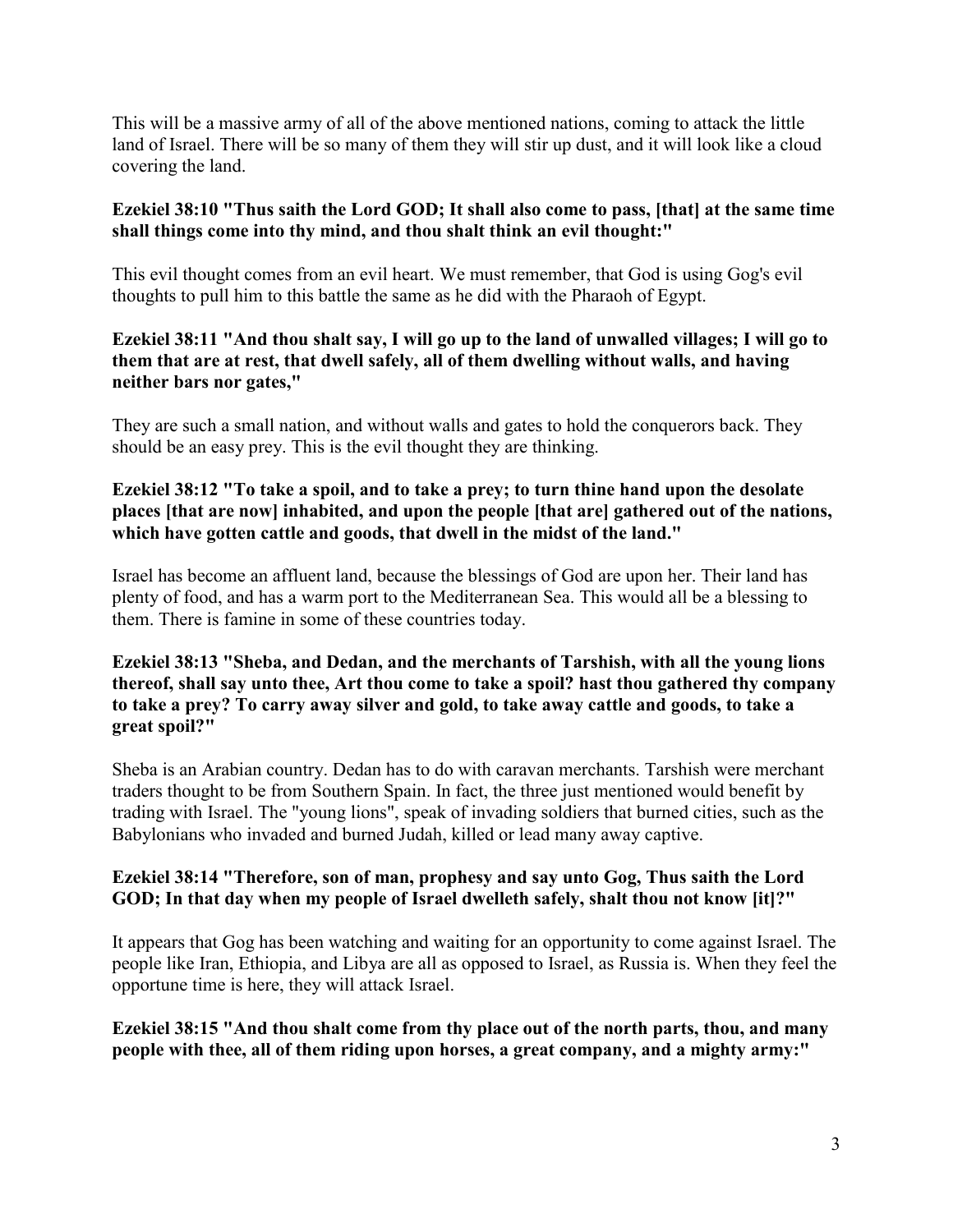This will be a massive army of all of the above mentioned nations, coming to attack the little land of Israel. There will be so many of them they will stir up dust, and it will look like a cloud covering the land.

# **Ezekiel 38:10 "Thus saith the Lord GOD; It shall also come to pass, [that] at the same time shall things come into thy mind, and thou shalt think an evil thought:"**

This evil thought comes from an evil heart. We must remember, that God is using Gog's evil thoughts to pull him to this battle the same as he did with the Pharaoh of Egypt.

# **Ezekiel 38:11 "And thou shalt say, I will go up to the land of unwalled villages; I will go to them that are at rest, that dwell safely, all of them dwelling without walls, and having neither bars nor gates,"**

They are such a small nation, and without walls and gates to hold the conquerors back. They should be an easy prey. This is the evil thought they are thinking.

# **Ezekiel 38:12 "To take a spoil, and to take a prey; to turn thine hand upon the desolate places [that are now] inhabited, and upon the people [that are] gathered out of the nations, which have gotten cattle and goods, that dwell in the midst of the land."**

Israel has become an affluent land, because the blessings of God are upon her. Their land has plenty of food, and has a warm port to the Mediterranean Sea. This would all be a blessing to them. There is famine in some of these countries today.

## **Ezekiel 38:13 "Sheba, and Dedan, and the merchants of Tarshish, with all the young lions thereof, shall say unto thee, Art thou come to take a spoil? hast thou gathered thy company to take a prey? To carry away silver and gold, to take away cattle and goods, to take a great spoil?"**

Sheba is an Arabian country. Dedan has to do with caravan merchants. Tarshish were merchant traders thought to be from Southern Spain. In fact, the three just mentioned would benefit by trading with Israel. The "young lions", speak of invading soldiers that burned cities, such as the Babylonians who invaded and burned Judah, killed or lead many away captive.

# **Ezekiel 38:14 "Therefore, son of man, prophesy and say unto Gog, Thus saith the Lord GOD; In that day when my people of Israel dwelleth safely, shalt thou not know [it]?"**

It appears that Gog has been watching and waiting for an opportunity to come against Israel. The people like Iran, Ethiopia, and Libya are all as opposed to Israel, as Russia is. When they feel the opportune time is here, they will attack Israel.

**Ezekiel 38:15 "And thou shalt come from thy place out of the north parts, thou, and many people with thee, all of them riding upon horses, a great company, and a mighty army:"**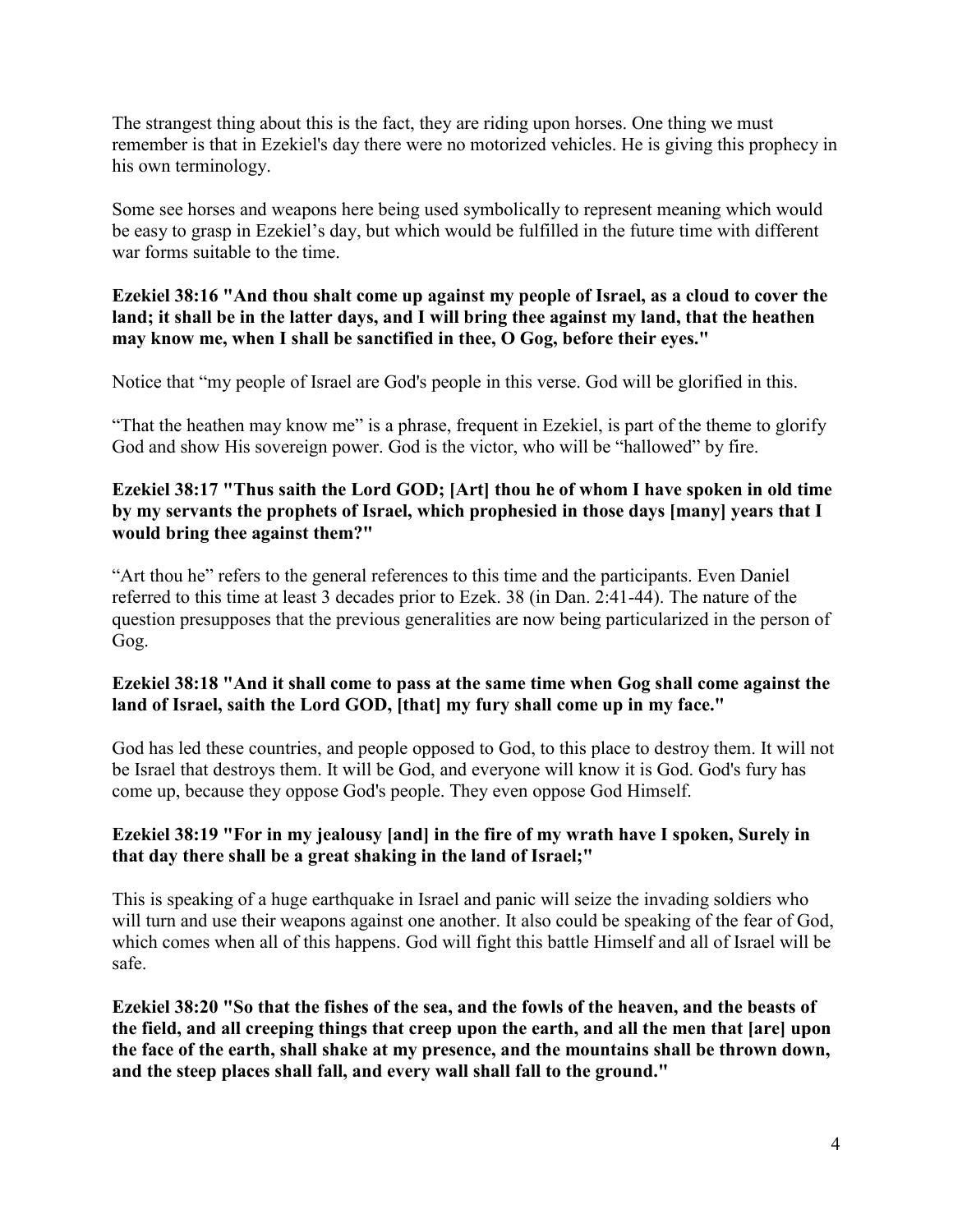The strangest thing about this is the fact, they are riding upon horses. One thing we must remember is that in Ezekiel's day there were no motorized vehicles. He is giving this prophecy in his own terminology.

Some see horses and weapons here being used symbolically to represent meaning which would be easy to grasp in Ezekiel's day, but which would be fulfilled in the future time with different war forms suitable to the time.

# **Ezekiel 38:16 "And thou shalt come up against my people of Israel, as a cloud to cover the land; it shall be in the latter days, and I will bring thee against my land, that the heathen may know me, when I shall be sanctified in thee, O Gog, before their eyes."**

Notice that "my people of Israel are God's people in this verse. God will be glorified in this.

"That the heathen may know me" is a phrase, frequent in Ezekiel, is part of the theme to glorify God and show His sovereign power. God is the victor, who will be "hallowed" by fire.

# **Ezekiel 38:17 "Thus saith the Lord GOD; [Art] thou he of whom I have spoken in old time by my servants the prophets of Israel, which prophesied in those days [many] years that I would bring thee against them?"**

"Art thou he" refers to the general references to this time and the participants. Even Daniel referred to this time at least 3 decades prior to Ezek. 38 (in Dan. 2:41-44). The nature of the question presupposes that the previous generalities are now being particularized in the person of Gog.

# **Ezekiel 38:18 "And it shall come to pass at the same time when Gog shall come against the land of Israel, saith the Lord GOD, [that] my fury shall come up in my face."**

God has led these countries, and people opposed to God, to this place to destroy them. It will not be Israel that destroys them. It will be God, and everyone will know it is God. God's fury has come up, because they oppose God's people. They even oppose God Himself.

# **Ezekiel 38:19 "For in my jealousy [and] in the fire of my wrath have I spoken, Surely in that day there shall be a great shaking in the land of Israel;"**

This is speaking of a huge earthquake in Israel and panic will seize the invading soldiers who will turn and use their weapons against one another. It also could be speaking of the fear of God, which comes when all of this happens. God will fight this battle Himself and all of Israel will be safe.

**Ezekiel 38:20 "So that the fishes of the sea, and the fowls of the heaven, and the beasts of the field, and all creeping things that creep upon the earth, and all the men that [are] upon the face of the earth, shall shake at my presence, and the mountains shall be thrown down, and the steep places shall fall, and every wall shall fall to the ground."**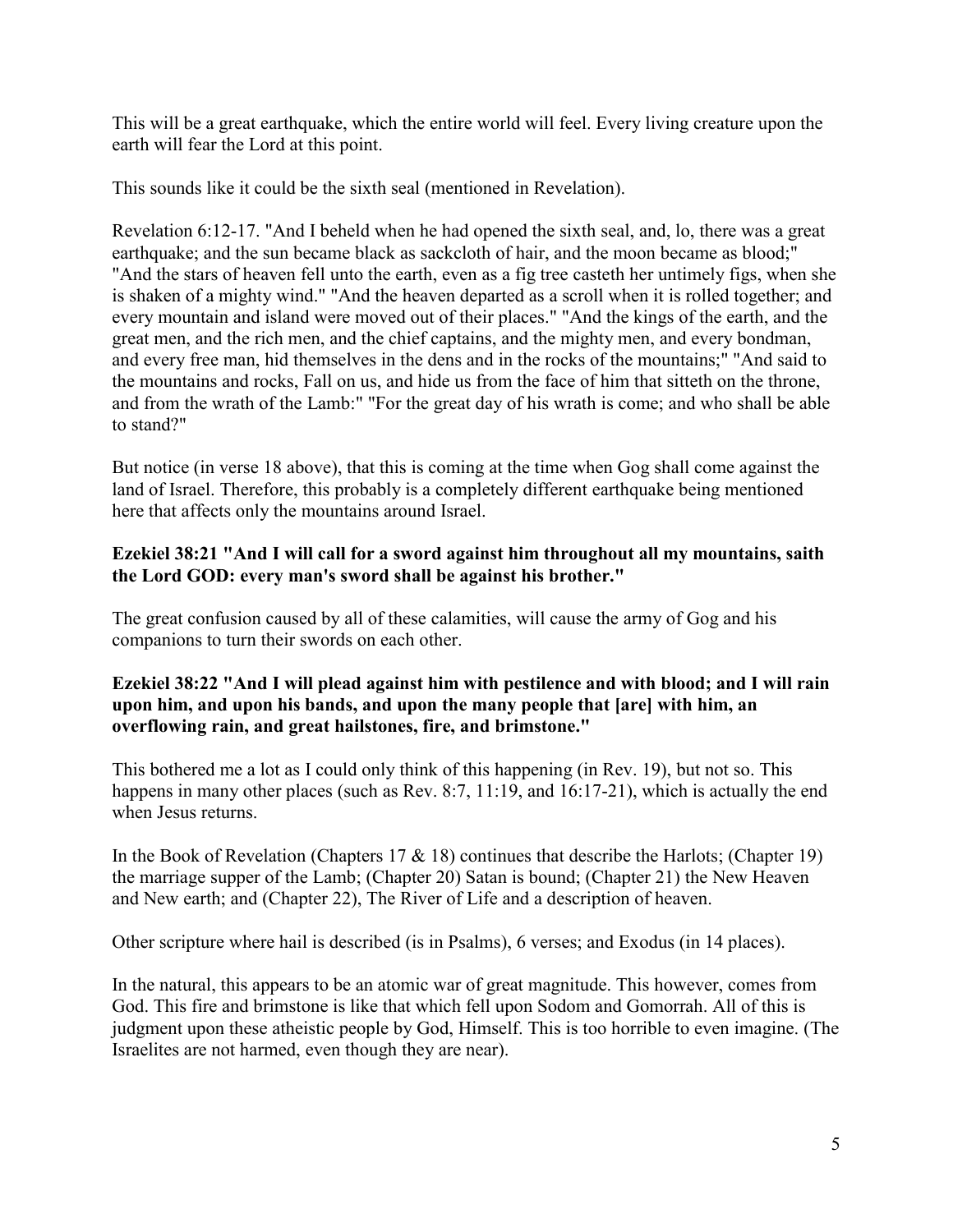This will be a great earthquake, which the entire world will feel. Every living creature upon the earth will fear the Lord at this point.

This sounds like it could be the sixth seal (mentioned in Revelation).

Revelation 6:12-17. "And I beheld when he had opened the sixth seal, and, lo, there was a great earthquake; and the sun became black as sackcloth of hair, and the moon became as blood;" "And the stars of heaven fell unto the earth, even as a fig tree casteth her untimely figs, when she is shaken of a mighty wind." "And the heaven departed as a scroll when it is rolled together; and every mountain and island were moved out of their places." "And the kings of the earth, and the great men, and the rich men, and the chief captains, and the mighty men, and every bondman, and every free man, hid themselves in the dens and in the rocks of the mountains;" "And said to the mountains and rocks, Fall on us, and hide us from the face of him that sitteth on the throne, and from the wrath of the Lamb:" "For the great day of his wrath is come; and who shall be able to stand?"

But notice (in verse 18 above), that this is coming at the time when Gog shall come against the land of Israel. Therefore, this probably is a completely different earthquake being mentioned here that affects only the mountains around Israel.

## **Ezekiel 38:21 "And I will call for a sword against him throughout all my mountains, saith the Lord GOD: every man's sword shall be against his brother."**

The great confusion caused by all of these calamities, will cause the army of Gog and his companions to turn their swords on each other.

## **Ezekiel 38:22 "And I will plead against him with pestilence and with blood; and I will rain upon him, and upon his bands, and upon the many people that [are] with him, an overflowing rain, and great hailstones, fire, and brimstone."**

This bothered me a lot as I could only think of this happening (in Rev. 19), but not so. This happens in many other places (such as Rev. 8:7, 11:19, and 16:17-21), which is actually the end when Jesus returns.

In the Book of Revelation (Chapters 17  $\&$  18) continues that describe the Harlots; (Chapter 19) the marriage supper of the Lamb; (Chapter 20) Satan is bound; (Chapter 21) the New Heaven and New earth; and (Chapter 22), The River of Life and a description of heaven.

Other scripture where hail is described (is in Psalms), 6 verses; and Exodus (in 14 places).

In the natural, this appears to be an atomic war of great magnitude. This however, comes from God. This fire and brimstone is like that which fell upon Sodom and Gomorrah. All of this is judgment upon these atheistic people by God, Himself. This is too horrible to even imagine. (The Israelites are not harmed, even though they are near).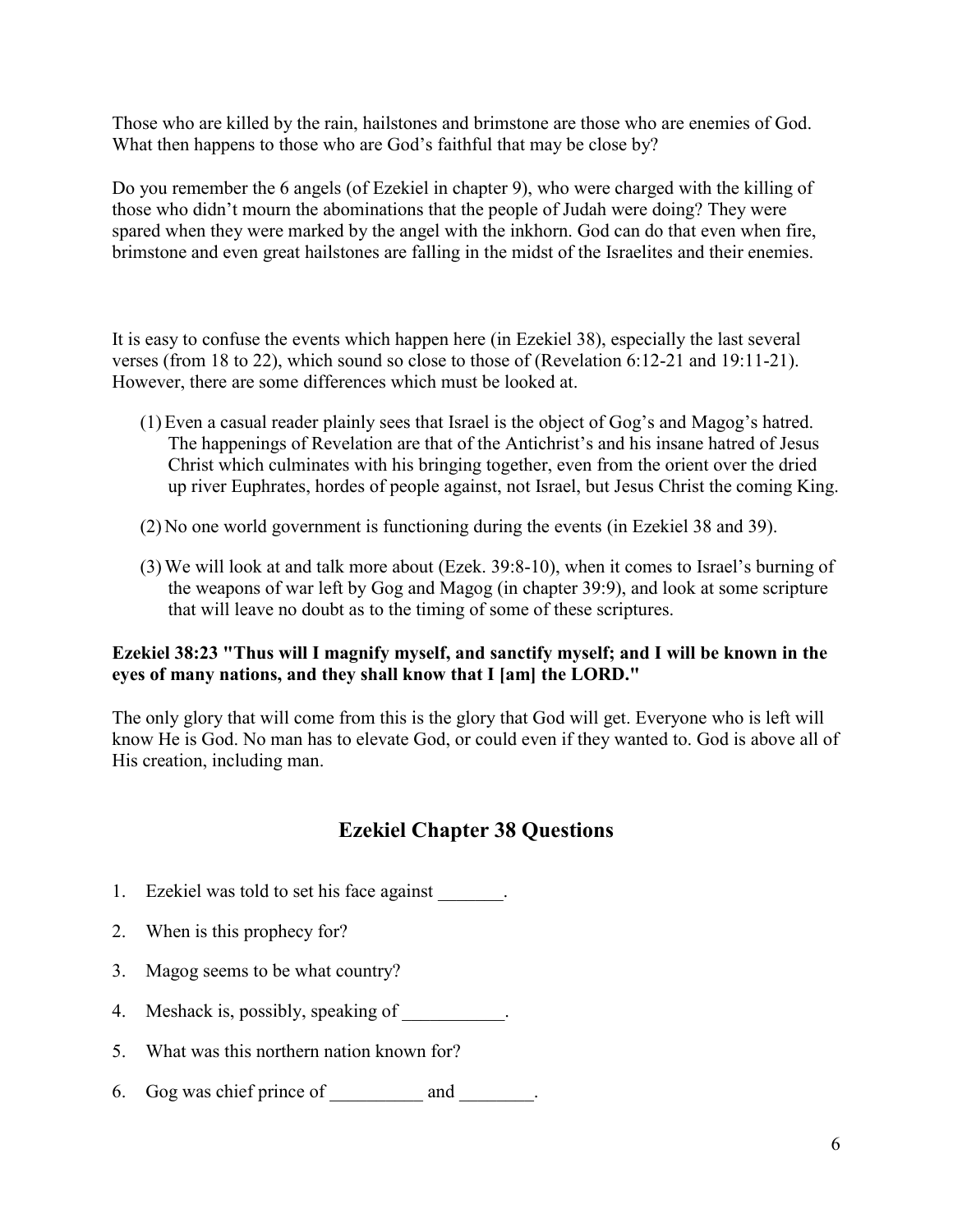Those who are killed by the rain, hailstones and brimstone are those who are enemies of God. What then happens to those who are God's faithful that may be close by?

Do you remember the 6 angels (of Ezekiel in chapter 9), who were charged with the killing of those who didn't mourn the abominations that the people of Judah were doing? They were spared when they were marked by the angel with the inkhorn. God can do that even when fire, brimstone and even great hailstones are falling in the midst of the Israelites and their enemies.

It is easy to confuse the events which happen here (in Ezekiel 38), especially the last several verses (from 18 to 22), which sound so close to those of (Revelation 6:12-21 and 19:11-21). However, there are some differences which must be looked at.

- (1)Even a casual reader plainly sees that Israel is the object of Gog's and Magog's hatred. The happenings of Revelation are that of the Antichrist's and his insane hatred of Jesus Christ which culminates with his bringing together, even from the orient over the dried up river Euphrates, hordes of people against, not Israel, but Jesus Christ the coming King.
- (2)No one world government is functioning during the events (in Ezekiel 38 and 39).
- (3)We will look at and talk more about (Ezek. 39:8-10), when it comes to Israel's burning of the weapons of war left by Gog and Magog (in chapter 39:9), and look at some scripture that will leave no doubt as to the timing of some of these scriptures.

# **Ezekiel 38:23 "Thus will I magnify myself, and sanctify myself; and I will be known in the eyes of many nations, and they shall know that I [am] the LORD."**

The only glory that will come from this is the glory that God will get. Everyone who is left will know He is God. No man has to elevate God, or could even if they wanted to. God is above all of His creation, including man.

# **Ezekiel Chapter 38 Questions**

- 1. Ezekiel was told to set his face against
- 2. When is this prophecy for?
- 3. Magog seems to be what country?
- 4. Meshack is, possibly, speaking of
- 5. What was this northern nation known for?
- 6. Gog was chief prince of \_\_\_\_\_\_\_\_\_\_ and \_\_\_\_\_\_\_\_.